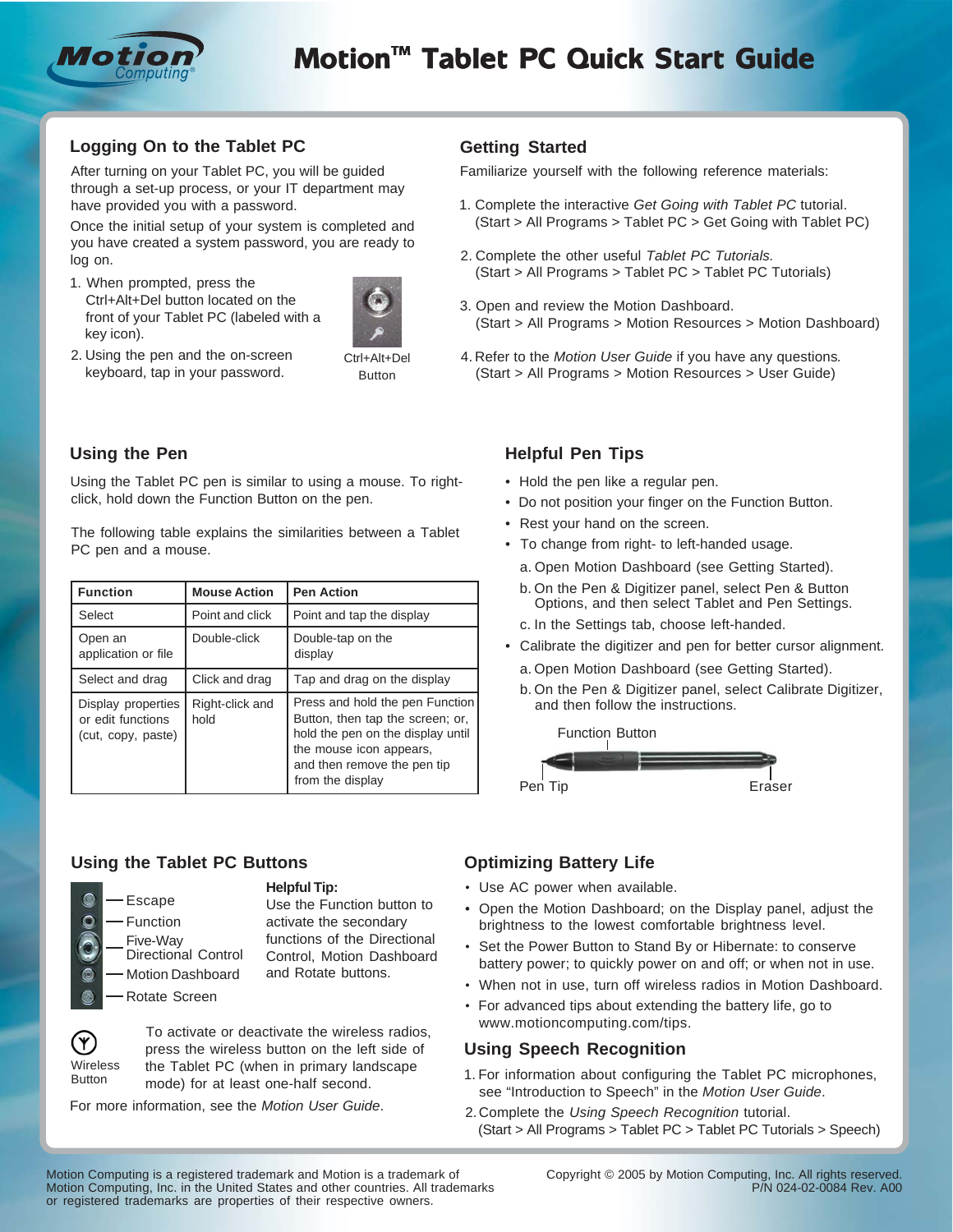

# **Logging On to the Tablet PC**

After turning on your Tablet PC, you will be guided through a set-up process, or your IT department may have provided you with a password.

Once the initial setup of your system is completed and you have created a system password, you are ready to log on.

1. When prompted, press the Ctrl+Alt+Del button located on the front of your Tablet PC (labeled with a key icon).



2. Using the pen and the on-screen keyboard, tap in your password.

#### Ctrl+Alt+Del Button

# **Using the Pen**

Using the Tablet PC pen is similar to using a mouse. To rightclick, hold down the Function Button on the pen.

The following table explains the similarities between a Tablet PC pen and a mouse.

| <b>Function</b>                                               | <b>Mouse Action</b>     | <b>Pen Action</b>                                                                                                                                                                      |
|---------------------------------------------------------------|-------------------------|----------------------------------------------------------------------------------------------------------------------------------------------------------------------------------------|
| Select                                                        | Point and click         | Point and tap the display                                                                                                                                                              |
| Open an<br>application or file                                | Double-click            | Double-tap on the<br>display                                                                                                                                                           |
| Select and drag                                               | Click and drag          | Tap and drag on the display                                                                                                                                                            |
| Display properties<br>or edit functions<br>(cut, copy, paste) | Right-click and<br>hold | Press and hold the pen Function<br>Button, then tap the screen; or,<br>hold the pen on the display until<br>the mouse icon appears,<br>and then remove the pen tip<br>from the display |

#### **Using the Tablet PC Buttons**



#### **Helpful Tip:**

Use the Function button to activate the secondary functions of the Directional Control, Motion Dashboard and Rotate buttons.



 To activate or deactivate the wireless radios, press the wireless button on the left side of the Tablet PC (when in primary landscape mode) for at least one-half second.

For more information, see the *Motion User Guide*.

# **Getting Started**

Familiarize yourself with the following reference materials:

- 1. Complete the interactive *Get Going with Tablet PC* tutorial. (Start > All Programs > Tablet PC > Get Going with Tablet PC)
- 2. Complete the other useful *Tablet PC Tutorials.* (Start > All Programs > Tablet PC > Tablet PC Tutorials)
- 3. Open and review the Motion Dashboard. (Start > All Programs > Motion Resources > Motion Dashboard)
- 4. Refer to the *Motion User Guide* if you have any questions*.* (Start > All Programs > Motion Resources > User Guide)

### **Helpful Pen Tips**

- Hold the pen like a regular pen.
- Do not position your finger on the Function Button.
- Rest your hand on the screen.
- To change from right- to left-handed usage.
	- a. Open Motion Dashboard (see Getting Started).
	- b. On the Pen & Digitizer panel, select Pen & Button Options, and then select Tablet and Pen Settings.
	- c. In the Settings tab, choose left-handed.
- Calibrate the digitizer and pen for better cursor alignment.
	- a. Open Motion Dashboard (see Getting Started).
	- b. On the Pen & Digitizer panel, select Calibrate Digitizer, and then follow the instructions.



# **Optimizing Battery Life**

- Use AC power when available.
- Open the Motion Dashboard; on the Display panel, adjust the brightness to the lowest comfortable brightness level.
- Set the Power Button to Stand By or Hibernate: to conserve battery power; to quickly power on and off; or when not in use.
- When not in use, turn off wireless radios in Motion Dashboard.
- For advanced tips about extending the battery life, go to www.motioncomputing.com/tips.

#### **Using Speech Recognition**

- 1. For information about configuring the Tablet PC microphones, see "Introduction to Speech" in the *Motion User Guide*.
- 2. Complete the *Using Speech Recognition* tutorial. (Start > All Programs > Tablet PC > Tablet PC Tutorials > Speech)

Motion Computing is a registered trademark and Motion is a trademark of Motion Computing, Inc. in the United States and other countries. All trademarks or registered trademarks are properties of their respective owners.